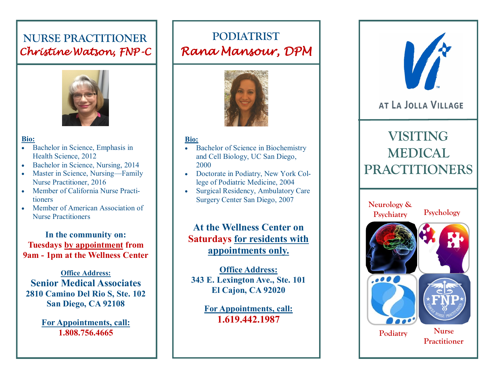### **NURSE PRACTITIONER** *Christine Watson, FNP-C*



#### **Bio:**

- Bachelor in Science, Emphasis in Health Science, 2012
- Bachelor in Science, Nursing, 2014
- Master in Science, Nursing—Family Nurse Practitioner, 2016
- Member of California Nurse Practitioners
- Member of American Association of Nurse Practitioners

**In the community on: Tuesdays by appointment from 9am - 1pm at the Wellness Center**

**Office Address: Senior Medical Associates 2810 Camino Del Rio S, Ste. 102 San Diego, CA 92108**

> **For Appointments, call: 1.808.756.4665**

## **PODIATRIST** *Rana Mansour, DPM*



#### **Bio:**

- Bachelor of Science in Biochemistry and Cell Biology, UC San Diego, 2000
- Doctorate in Podiatry, New York College of Podiatric Medicine, 2004
- Surgical Residency, Ambulatory Care Surgery Center San Diego, 2007

### **At the Wellness Center on Saturdays for residents with appointments only.**

**Office Address: 343 E. Lexington Ave., Ste. 101 El Cajon, CA 92020**

> **For Appointments, call: 1.619.442.1987**



### AT LA JOLLA VILLAGE

# **VISITING MEDICAL PRACTITIONERS**